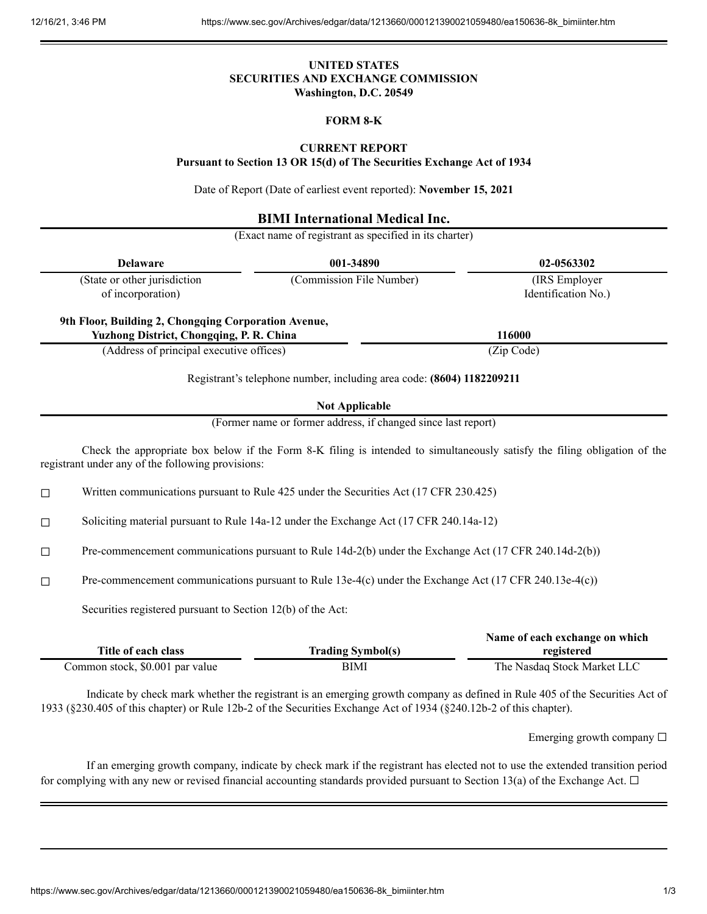## **UNITED STATES SECURITIES AND EXCHANGE COMMISSION Washington, D.C. 20549**

# **FORM 8-K**

# **CURRENT REPORT**

**Pursuant to Section 13 OR 15(d) of The Securities Exchange Act of 1934**

Date of Report (Date of earliest event reported): **November 15, 2021**

## **BIMI International Medical Inc.**

(Exact name of registrant as specified in its charter)

| <b>Delaware</b>                 |                                                                                                                    | 001-34890                                                             | 02-0563302                                                                                                                  |  |
|---------------------------------|--------------------------------------------------------------------------------------------------------------------|-----------------------------------------------------------------------|-----------------------------------------------------------------------------------------------------------------------------|--|
|                                 | (State or other jurisdiction<br>of incorporation)                                                                  | (Commission File Number)                                              | (IRS Employer<br>Identification No.)                                                                                        |  |
|                                 | 9th Floor, Building 2, Chongqing Corporation Avenue,<br>Yuzhong District, Chongqing, P. R. China                   |                                                                       | 116000                                                                                                                      |  |
|                                 | (Address of principal executive offices)                                                                           |                                                                       | (Zip Code)                                                                                                                  |  |
|                                 |                                                                                                                    | Registrant's telephone number, including area code: (8604) 1182209211 |                                                                                                                             |  |
|                                 |                                                                                                                    | <b>Not Applicable</b>                                                 |                                                                                                                             |  |
|                                 |                                                                                                                    | (Former name or former address, if changed since last report)         |                                                                                                                             |  |
|                                 | registrant under any of the following provisions:                                                                  |                                                                       | Check the appropriate box below if the Form 8-K filing is intended to simultaneously satisfy the filing obligation of the   |  |
| $\Box$                          | Written communications pursuant to Rule 425 under the Securities Act (17 CFR 230.425)                              |                                                                       |                                                                                                                             |  |
| □                               | Soliciting material pursuant to Rule 14a-12 under the Exchange Act (17 CFR 240.14a-12)                             |                                                                       |                                                                                                                             |  |
| $\Box$                          | Pre-commencement communications pursuant to Rule 14d-2(b) under the Exchange Act (17 CFR 240.14d-2(b))             |                                                                       |                                                                                                                             |  |
| $\Box$                          | Pre-commencement communications pursuant to Rule 13e-4(c) under the Exchange Act (17 CFR 240.13e-4(c))             |                                                                       |                                                                                                                             |  |
|                                 | Securities registered pursuant to Section 12(b) of the Act:                                                        |                                                                       |                                                                                                                             |  |
|                                 | Title of each class                                                                                                | <b>Trading Symbol(s)</b>                                              | Name of each exchange on which<br>registered                                                                                |  |
| Common stock, \$0.001 par value |                                                                                                                    | <b>BIMI</b>                                                           | The Nasdaq Stock Market LLC                                                                                                 |  |
|                                 | 1933 (§230.405 of this chapter) or Rule 12b-2 of the Securities Exchange Act of 1934 (§240.12b-2 of this chapter). |                                                                       | Indicate by check mark whether the registrant is an emerging growth company as defined in Rule 405 of the Securities Act of |  |

Emerging growth company  $\Box$ 

If an emerging growth company, indicate by check mark if the registrant has elected not to use the extended transition period for complying with any new or revised financial accounting standards provided pursuant to Section 13(a) of the Exchange Act.  $\Box$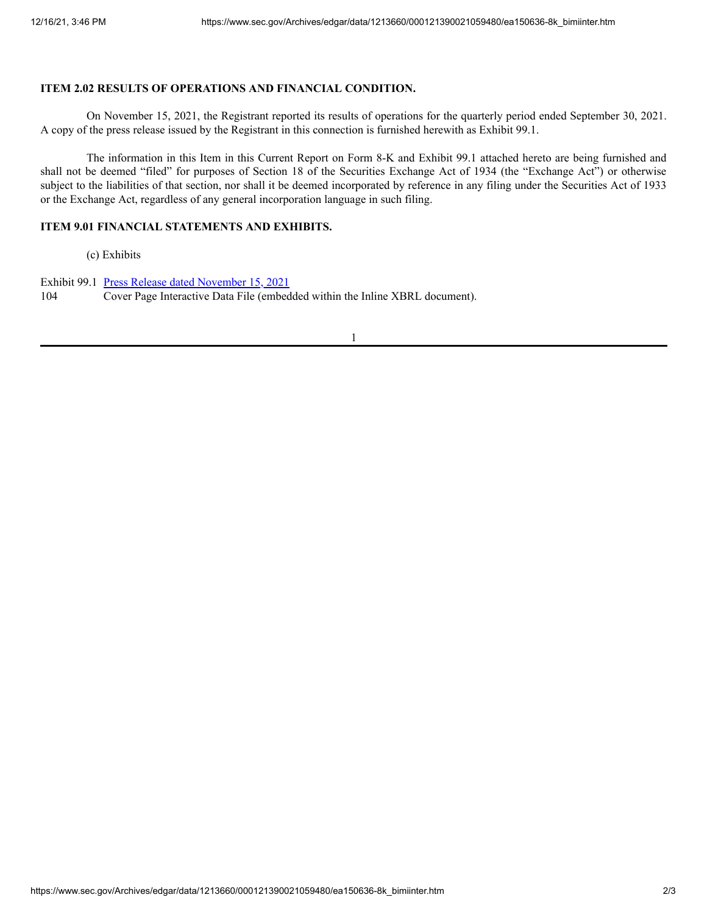#### **ITEM 2.02 RESULTS OF OPERATIONS AND FINANCIAL CONDITION.**

On November 15, 2021, the Registrant reported its results of operations for the quarterly period ended September 30, 2021. A copy of the press release issued by the Registrant in this connection is furnished herewith as Exhibit 99.1.

The information in this Item in this Current Report on Form 8-K and Exhibit 99.1 attached hereto are being furnished and shall not be deemed "filed" for purposes of Section 18 of the Securities Exchange Act of 1934 (the "Exchange Act") or otherwise subject to the liabilities of that section, nor shall it be deemed incorporated by reference in any filing under the Securities Act of 1933 or the Exchange Act, regardless of any general incorporation language in such filing.

### **ITEM 9.01 FINANCIAL STATEMENTS AND EXHIBITS.**

(c) Exhibits

Exhibit 99.1 Press Release dated [November](https://www.sec.gov/Archives/edgar/data/1213660/000121390021059480/ea150636ex99-1_bimiinter.htm) 15, 2021 104 Cover Page Interactive Data File (embedded within the Inline XBRL document).

1